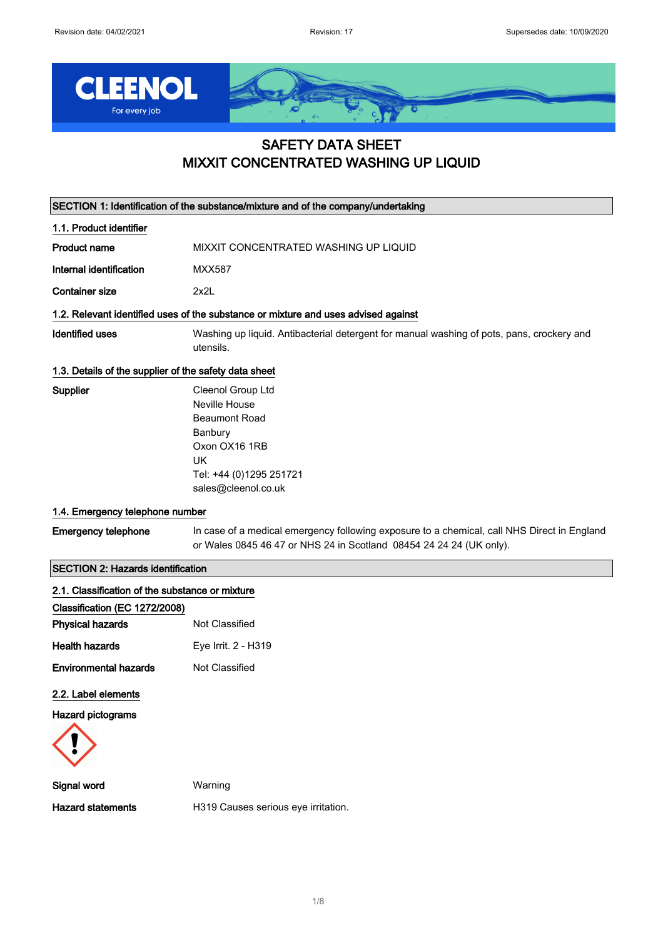

## SAFETY DATA SHEET MIXXIT CONCENTRATED WASHING UP LIQUID

| SECTION 1: Identification of the substance/mixture and of the company/undertaking |                                                                                                                                                                    |  |
|-----------------------------------------------------------------------------------|--------------------------------------------------------------------------------------------------------------------------------------------------------------------|--|
| 1.1. Product identifier                                                           |                                                                                                                                                                    |  |
| <b>Product name</b>                                                               | MIXXIT CONCENTRATED WASHING UP LIQUID                                                                                                                              |  |
| Internal identification                                                           | <b>MXX587</b>                                                                                                                                                      |  |
| <b>Container size</b>                                                             | 2x2L                                                                                                                                                               |  |
|                                                                                   | 1.2. Relevant identified uses of the substance or mixture and uses advised against                                                                                 |  |
| <b>Identified uses</b>                                                            | Washing up liquid. Antibacterial detergent for manual washing of pots, pans, crockery and<br>utensils.                                                             |  |
| 1.3. Details of the supplier of the safety data sheet                             |                                                                                                                                                                    |  |
| Supplier                                                                          | Cleenol Group Ltd<br>Neville House<br><b>Beaumont Road</b><br>Banbury<br>Oxon OX16 1RB<br>UK<br>Tel: +44 (0)1295 251721<br>sales@cleenol.co.uk                     |  |
| 1.4. Emergency telephone number                                                   |                                                                                                                                                                    |  |
| <b>Emergency telephone</b>                                                        | In case of a medical emergency following exposure to a chemical, call NHS Direct in England<br>or Wales 0845 46 47 or NHS 24 in Scotland 08454 24 24 24 (UK only). |  |
| <b>SECTION 2: Hazards identification</b>                                          |                                                                                                                                                                    |  |
| 2.1. Classification of the substance or mixture                                   |                                                                                                                                                                    |  |
| Classification (EC 1272/2008)                                                     |                                                                                                                                                                    |  |
| <b>Physical hazards</b>                                                           | Not Classified                                                                                                                                                     |  |
| <b>Health hazards</b>                                                             | Eye Irrit. 2 - H319                                                                                                                                                |  |
| <b>Environmental hazards</b>                                                      | Not Classified                                                                                                                                                     |  |
| 2.2. Label elements<br><b>Hazard pictograms</b>                                   |                                                                                                                                                                    |  |
| <b>Signal word</b>                                                                | Warning                                                                                                                                                            |  |
| <b>Hazard statements</b>                                                          | H319 Causes serious eye irritation.                                                                                                                                |  |
|                                                                                   |                                                                                                                                                                    |  |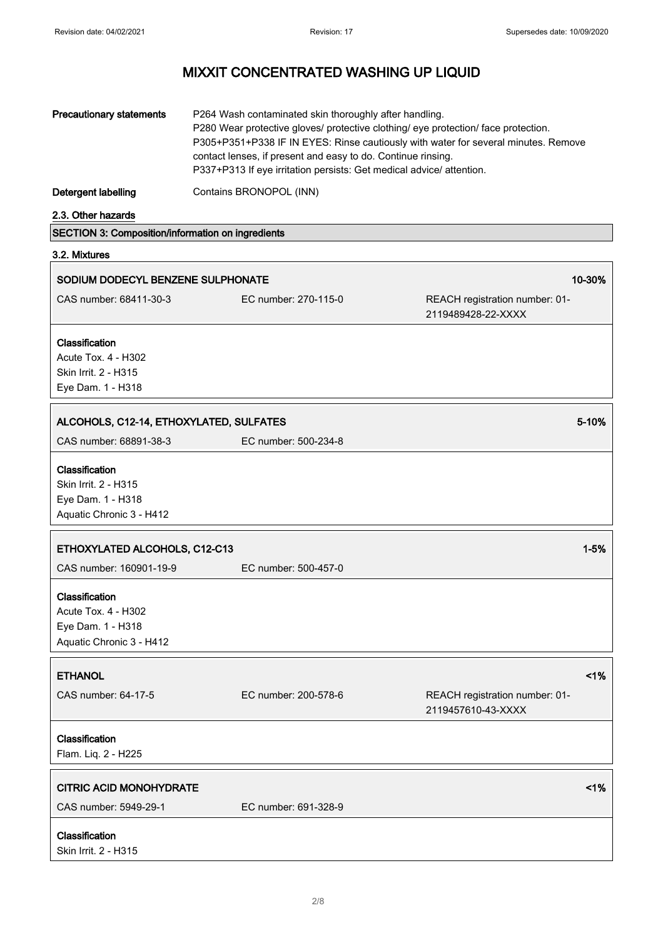| <b>Precautionary statements</b>                                                         | P264 Wash contaminated skin thoroughly after handling.<br>contact lenses, if present and easy to do. Continue rinsing.<br>P337+P313 If eye irritation persists: Get medical advice/ attention. | P280 Wear protective gloves/ protective clothing/ eye protection/ face protection.<br>P305+P351+P338 IF IN EYES: Rinse cautiously with water for several minutes. Remove |
|-----------------------------------------------------------------------------------------|------------------------------------------------------------------------------------------------------------------------------------------------------------------------------------------------|--------------------------------------------------------------------------------------------------------------------------------------------------------------------------|
| <b>Detergent labelling</b>                                                              | Contains BRONOPOL (INN)                                                                                                                                                                        |                                                                                                                                                                          |
| 2.3. Other hazards                                                                      |                                                                                                                                                                                                |                                                                                                                                                                          |
| SECTION 3: Composition/information on ingredients                                       |                                                                                                                                                                                                |                                                                                                                                                                          |
| 3.2. Mixtures                                                                           |                                                                                                                                                                                                |                                                                                                                                                                          |
| SODIUM DODECYL BENZENE SULPHONATE                                                       |                                                                                                                                                                                                | 10-30%                                                                                                                                                                   |
| CAS number: 68411-30-3                                                                  | EC number: 270-115-0                                                                                                                                                                           | REACH registration number: 01-<br>2119489428-22-XXXX                                                                                                                     |
| Classification<br>Acute Tox. 4 - H302<br>Skin Irrit. 2 - H315<br>Eye Dam. 1 - H318      |                                                                                                                                                                                                |                                                                                                                                                                          |
| ALCOHOLS, C12-14, ETHOXYLATED, SULFATES<br>5-10%                                        |                                                                                                                                                                                                |                                                                                                                                                                          |
| CAS number: 68891-38-3                                                                  | EC number: 500-234-8                                                                                                                                                                           |                                                                                                                                                                          |
| Classification<br>Skin Irrit. 2 - H315<br>Eye Dam. 1 - H318<br>Aquatic Chronic 3 - H412 |                                                                                                                                                                                                |                                                                                                                                                                          |
| ETHOXYLATED ALCOHOLS, C12-C13                                                           |                                                                                                                                                                                                | $1 - 5%$                                                                                                                                                                 |
| CAS number: 160901-19-9                                                                 | EC number: 500-457-0                                                                                                                                                                           |                                                                                                                                                                          |
| Classification<br>Acute Tox. 4 - H302<br>Eye Dam. 1 - H318<br>Aquatic Chronic 3 - H412  |                                                                                                                                                                                                |                                                                                                                                                                          |
| <b>ETHANOL</b>                                                                          |                                                                                                                                                                                                | 1%                                                                                                                                                                       |
| CAS number: 64-17-5                                                                     | EC number: 200-578-6                                                                                                                                                                           | REACH registration number: 01-<br>2119457610-43-XXXX                                                                                                                     |
| Classification<br>Flam. Liq. 2 - H225                                                   |                                                                                                                                                                                                |                                                                                                                                                                          |
| <b>CITRIC ACID MONOHYDRATE</b>                                                          |                                                                                                                                                                                                | 1%                                                                                                                                                                       |
| CAS number: 5949-29-1                                                                   | EC number: 691-328-9                                                                                                                                                                           |                                                                                                                                                                          |
| Classification                                                                          |                                                                                                                                                                                                |                                                                                                                                                                          |

Skin Irrit. 2 - H315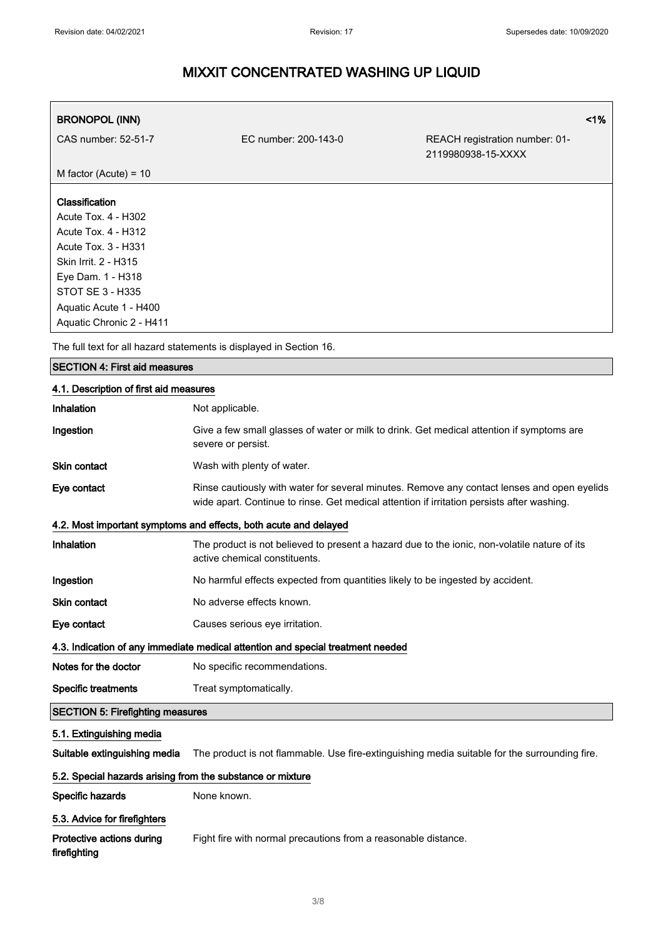| <b>BRONOPOL (INN)</b>                        |                      |                                                      | 1% |
|----------------------------------------------|----------------------|------------------------------------------------------|----|
| CAS number: 52-51-7                          | EC number: 200-143-0 | REACH registration number: 01-<br>2119980938-15-XXXX |    |
| M factor (Acute) = $10$                      |                      |                                                      |    |
| Classification                               |                      |                                                      |    |
| Acute Tox. 4 - H302                          |                      |                                                      |    |
| Acute Tox. 4 - H312<br>$A$ cute Toy 3 - H331 |                      |                                                      |    |

Acute Tox. 3 - H331 Skin Irrit. 2 - H315 Eye Dam. 1 - H318 STOT SE 3 - H335 Aquatic Acute 1 - H400 Aquatic Chronic 2 - H411

The full text for all hazard statements is displayed in Section 16.

## SECTION 4: First aid measures

## 4.1. Description of first aid measures

| Inhalation                                                                      | Not applicable.                                                                                                                                                                           |  |
|---------------------------------------------------------------------------------|-------------------------------------------------------------------------------------------------------------------------------------------------------------------------------------------|--|
| Ingestion                                                                       | Give a few small glasses of water or milk to drink. Get medical attention if symptoms are<br>severe or persist.                                                                           |  |
| Skin contact                                                                    | Wash with plenty of water.                                                                                                                                                                |  |
| Eye contact                                                                     | Rinse cautiously with water for several minutes. Remove any contact lenses and open eyelids<br>wide apart. Continue to rinse. Get medical attention if irritation persists after washing. |  |
|                                                                                 | 4.2. Most important symptoms and effects, both acute and delayed                                                                                                                          |  |
| Inhalation                                                                      | The product is not believed to present a hazard due to the ionic, non-volatile nature of its<br>active chemical constituents.                                                             |  |
| Ingestion                                                                       | No harmful effects expected from quantities likely to be ingested by accident.                                                                                                            |  |
| Skin contact                                                                    | No adverse effects known.                                                                                                                                                                 |  |
| Eye contact                                                                     | Causes serious eye irritation.                                                                                                                                                            |  |
| 4.3. Indication of any immediate medical attention and special treatment needed |                                                                                                                                                                                           |  |
| Notes for the doctor                                                            | No specific recommendations.                                                                                                                                                              |  |
| <b>Specific treatments</b>                                                      | Treat symptomatically.                                                                                                                                                                    |  |
| <b>SECTION 5: Firefighting measures</b>                                         |                                                                                                                                                                                           |  |
| 5.1. Extinguishing media                                                        |                                                                                                                                                                                           |  |
| Suitable extinguishing media                                                    | The product is not flammable. Use fire-extinguishing media suitable for the surrounding fire.                                                                                             |  |
| 5.2. Special hazards arising from the substance or mixture                      |                                                                                                                                                                                           |  |
| Specific hazards                                                                | None known.                                                                                                                                                                               |  |
| 5.3. Advice for firefighters                                                    |                                                                                                                                                                                           |  |
| Protective actions during<br>firefighting                                       | Fight fire with normal precautions from a reasonable distance.                                                                                                                            |  |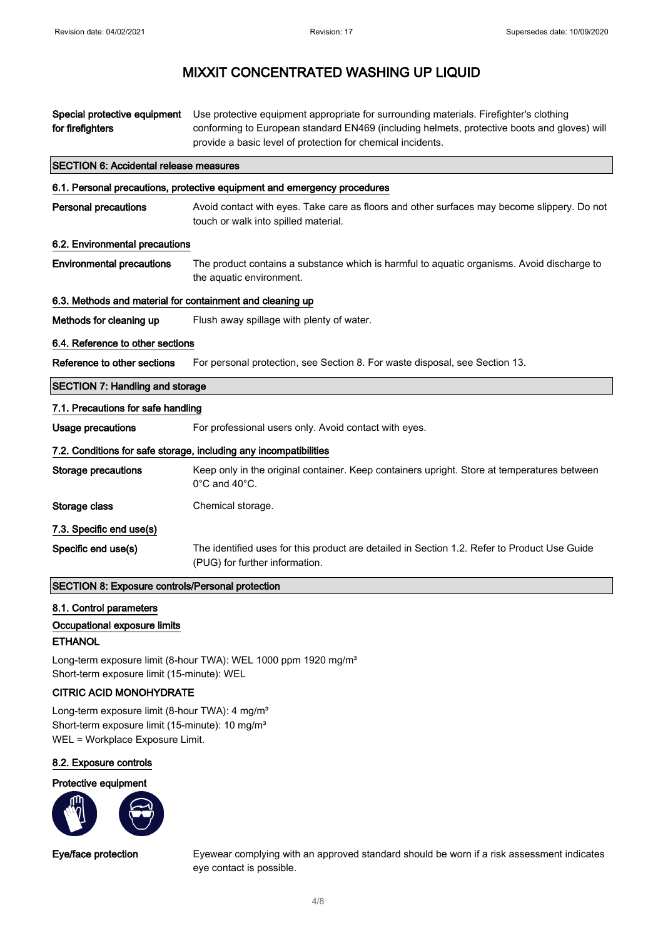| Special protective equipment<br>for firefighters          | Use protective equipment appropriate for surrounding materials. Firefighter's clothing<br>conforming to European standard EN469 (including helmets, protective boots and gloves) will<br>provide a basic level of protection for chemical incidents. |
|-----------------------------------------------------------|------------------------------------------------------------------------------------------------------------------------------------------------------------------------------------------------------------------------------------------------------|
| <b>SECTION 6: Accidental release measures</b>             |                                                                                                                                                                                                                                                      |
|                                                           | 6.1. Personal precautions, protective equipment and emergency procedures                                                                                                                                                                             |
| <b>Personal precautions</b>                               | Avoid contact with eyes. Take care as floors and other surfaces may become slippery. Do not<br>touch or walk into spilled material.                                                                                                                  |
| 6.2. Environmental precautions                            |                                                                                                                                                                                                                                                      |
| <b>Environmental precautions</b>                          | The product contains a substance which is harmful to aquatic organisms. Avoid discharge to<br>the aquatic environment.                                                                                                                               |
| 6.3. Methods and material for containment and cleaning up |                                                                                                                                                                                                                                                      |
| Methods for cleaning up                                   | Flush away spillage with plenty of water.                                                                                                                                                                                                            |
| 6.4. Reference to other sections                          |                                                                                                                                                                                                                                                      |
| Reference to other sections                               | For personal protection, see Section 8. For waste disposal, see Section 13.                                                                                                                                                                          |
| <b>SECTION 7: Handling and storage</b>                    |                                                                                                                                                                                                                                                      |
| 7.1. Precautions for safe handling                        |                                                                                                                                                                                                                                                      |
| <b>Usage precautions</b>                                  | For professional users only. Avoid contact with eyes.                                                                                                                                                                                                |
|                                                           | 7.2. Conditions for safe storage, including any incompatibilities                                                                                                                                                                                    |
| <b>Storage precautions</b>                                | Keep only in the original container. Keep containers upright. Store at temperatures between<br>$0^{\circ}$ C and $40^{\circ}$ C.                                                                                                                     |
| Storage class                                             | Chemical storage.                                                                                                                                                                                                                                    |
| 7.3. Specific end use(s)                                  |                                                                                                                                                                                                                                                      |
| Specific end use(s)                                       | The identified uses for this product are detailed in Section 1.2. Refer to Product Use Guide<br>(PUG) for further information.                                                                                                                       |
| <b>SECTION 8: Exposure controls/Personal protection</b>   |                                                                                                                                                                                                                                                      |

### 8.1. Control parameters

Occupational exposure limits

### **ETHANOL**

Long-term exposure limit (8-hour TWA): WEL 1000 ppm 1920 mg/m<sup>3</sup> Short-term exposure limit (15-minute): WEL

## CITRIC ACID MONOHYDRATE

Long-term exposure limit (8-hour TWA): 4 mg/m<sup>3</sup> Short-term exposure limit (15-minute): 10 mg/m<sup>3</sup> WEL = Workplace Exposure Limit.

## 8.2. Exposure controls

Protective equipment



Eye/face protection Eyewear complying with an approved standard should be worn if a risk assessment indicates eye contact is possible.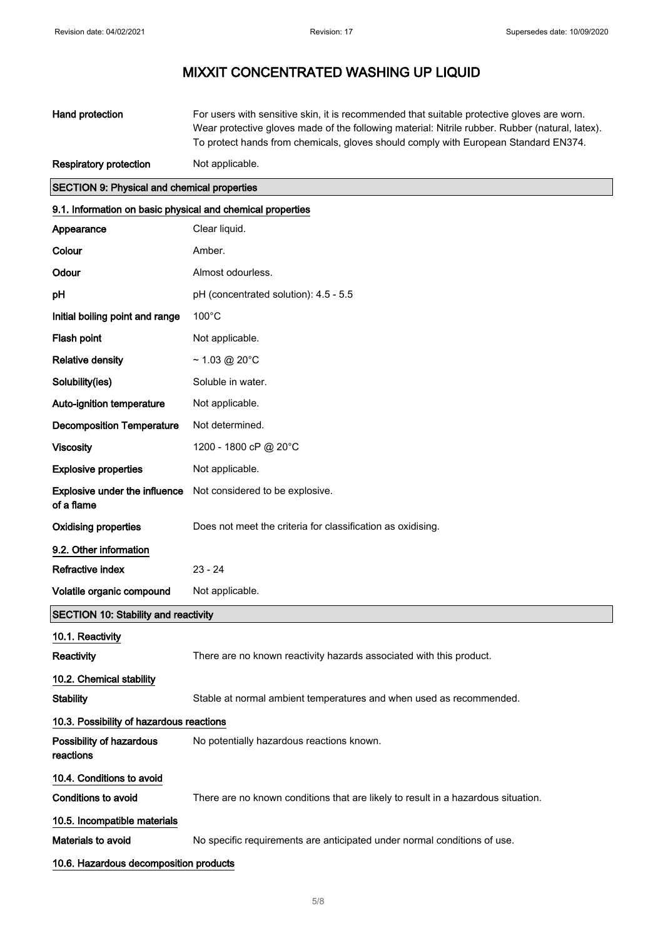| Hand protection               | For users with sensitive skin, it is recommended that suitable protective gloves are worn.      |
|-------------------------------|-------------------------------------------------------------------------------------------------|
|                               | Wear protective gloves made of the following material: Nitrile rubber. Rubber (natural, latex). |
|                               | To protect hands from chemicals, gloves should comply with European Standard EN374.             |
| <b>Respiratory protection</b> | Not applicable.                                                                                 |

| Respiratory protection | <b>INOL applicable</b> |
|------------------------|------------------------|
|                        |                        |

| <b>SECTION 9: Physical and chemical properties</b>         |                                                                                   |  |
|------------------------------------------------------------|-----------------------------------------------------------------------------------|--|
| 9.1. Information on basic physical and chemical properties |                                                                                   |  |
| Appearance                                                 | Clear liquid.                                                                     |  |
| Colour                                                     | Amber.                                                                            |  |
| Odour                                                      | Almost odourless.                                                                 |  |
| рH                                                         | pH (concentrated solution): 4.5 - 5.5                                             |  |
| Initial boiling point and range                            | $100^{\circ}$ C                                                                   |  |
| Flash point                                                | Not applicable.                                                                   |  |
| <b>Relative density</b>                                    | $~1.03$ @ 20°C                                                                    |  |
| Solubility(ies)                                            | Soluble in water.                                                                 |  |
| Auto-ignition temperature                                  | Not applicable.                                                                   |  |
| <b>Decomposition Temperature</b>                           | Not determined.                                                                   |  |
| <b>Viscosity</b>                                           | 1200 - 1800 cP @ 20°C                                                             |  |
| <b>Explosive properties</b>                                | Not applicable.                                                                   |  |
| <b>Explosive under the influence</b><br>of a flame         | Not considered to be explosive.                                                   |  |
| <b>Oxidising properties</b>                                | Does not meet the criteria for classification as oxidising.                       |  |
| 9.2. Other information                                     |                                                                                   |  |
| Refractive index                                           | $23 - 24$                                                                         |  |
| Volatile organic compound                                  | Not applicable.                                                                   |  |
| <b>SECTION 10: Stability and reactivity</b>                |                                                                                   |  |
| 10.1. Reactivity                                           |                                                                                   |  |
| Reactivity                                                 | There are no known reactivity hazards associated with this product.               |  |
| 10.2. Chemical stability                                   |                                                                                   |  |
| <b>Stability</b>                                           | Stable at normal ambient temperatures and when used as recommended.               |  |
| 10.3. Possibility of hazardous reactions                   |                                                                                   |  |
| Possibility of hazardous<br>reactions                      | No potentially hazardous reactions known.                                         |  |
| 10.4. Conditions to avoid                                  |                                                                                   |  |
| <b>Conditions to avoid</b>                                 | There are no known conditions that are likely to result in a hazardous situation. |  |
| 10.5. Incompatible materials                               |                                                                                   |  |
| Materials to avoid                                         | No specific requirements are anticipated under normal conditions of use.          |  |
| 10.6. Hazardous decomposition products                     |                                                                                   |  |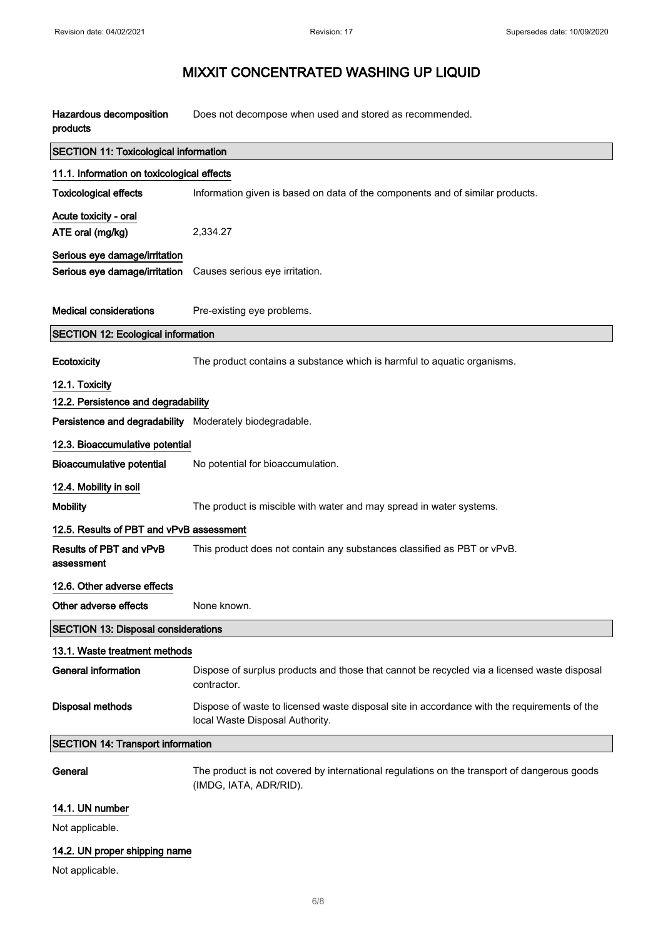| Hazardous decomposition<br>products                     | Does not decompose when used and stored as recommended.                                                                        |  |
|---------------------------------------------------------|--------------------------------------------------------------------------------------------------------------------------------|--|
| <b>SECTION 11: Toxicological information</b>            |                                                                                                                                |  |
| 11.1. Information on toxicological effects              |                                                                                                                                |  |
| <b>Toxicological effects</b>                            | Information given is based on data of the components and of similar products.                                                  |  |
| Acute toxicity - oral                                   |                                                                                                                                |  |
| ATE oral (mg/kg)                                        | 2,334.27                                                                                                                       |  |
| Serious eye damage/irritation                           |                                                                                                                                |  |
| Serious eye damage/irritation                           | Causes serious eye irritation.                                                                                                 |  |
|                                                         |                                                                                                                                |  |
| <b>Medical considerations</b>                           | Pre-existing eye problems.                                                                                                     |  |
| <b>SECTION 12: Ecological information</b>               |                                                                                                                                |  |
| Ecotoxicity                                             | The product contains a substance which is harmful to aquatic organisms.                                                        |  |
| 12.1. Toxicity                                          |                                                                                                                                |  |
| 12.2. Persistence and degradability                     |                                                                                                                                |  |
| Persistence and degradability Moderately biodegradable. |                                                                                                                                |  |
| 12.3. Bioaccumulative potential                         |                                                                                                                                |  |
| <b>Bioaccumulative potential</b>                        | No potential for bioaccumulation.                                                                                              |  |
| 12.4. Mobility in soil                                  |                                                                                                                                |  |
| <b>Mobility</b>                                         | The product is miscible with water and may spread in water systems.                                                            |  |
| 12.5. Results of PBT and vPvB assessment                |                                                                                                                                |  |
| Results of PBT and vPvB<br>assessment                   | This product does not contain any substances classified as PBT or vPvB.                                                        |  |
| 12.6. Other adverse effects                             |                                                                                                                                |  |
| Other adverse effects                                   | None known.                                                                                                                    |  |
| <b>SECTION 13: Disposal considerations</b>              |                                                                                                                                |  |
| 13.1. Waste treatment methods                           |                                                                                                                                |  |
| <b>General information</b>                              | Dispose of surplus products and those that cannot be recycled via a licensed waste disposal<br>contractor.                     |  |
| <b>Disposal methods</b>                                 | Dispose of waste to licensed waste disposal site in accordance with the requirements of the<br>local Waste Disposal Authority. |  |
| <b>SECTION 14: Transport information</b>                |                                                                                                                                |  |
| General                                                 | The product is not covered by international regulations on the transport of dangerous goods<br>(IMDG, IATA, ADR/RID).          |  |
| 14.1. UN number                                         |                                                                                                                                |  |
| Not applicable.                                         |                                                                                                                                |  |

## 14.2. UN proper shipping name

Not applicable.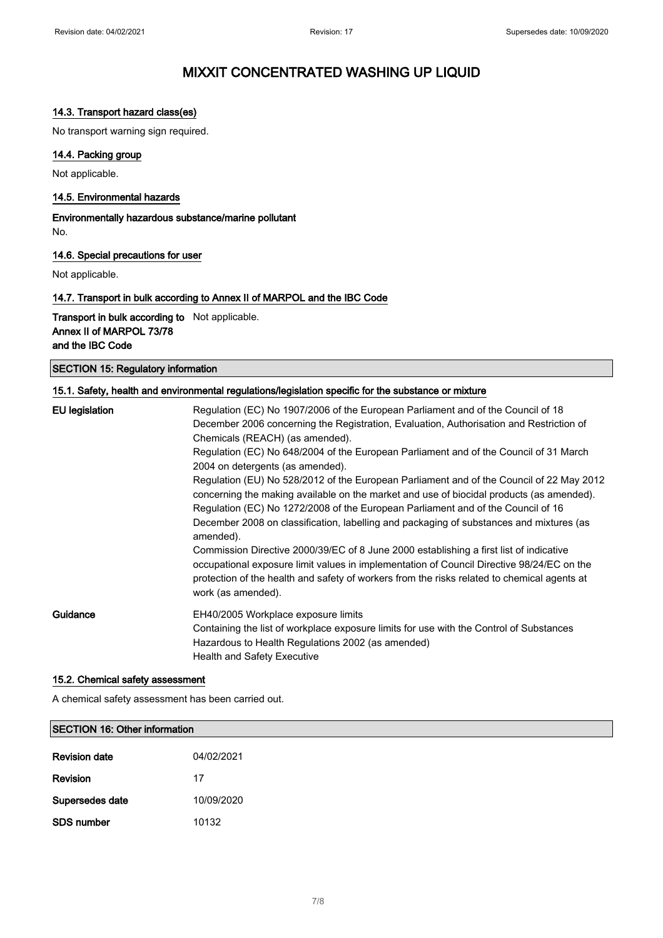## 14.3. Transport hazard class(es)

No transport warning sign required.

## 14.4. Packing group

Not applicable.

### 14.5. Environmental hazards

Environmentally hazardous substance/marine pollutant No.

### 14.6. Special precautions for user

Not applicable.

### 14.7. Transport in bulk according to Annex II of MARPOL and the IBC Code

Transport in bulk according to Not applicable. Annex II of MARPOL 73/78 and the IBC Code

SECTION 15: Regulatory information

### 15.1. Safety, health and environmental regulations/legislation specific for the substance or mixture

| EU legislation | Regulation (EC) No 1907/2006 of the European Parliament and of the Council of 18<br>December 2006 concerning the Registration, Evaluation, Authorisation and Restriction of<br>Chemicals (REACH) (as amended).<br>Regulation (EC) No 648/2004 of the European Parliament and of the Council of 31 March<br>2004 on detergents (as amended).<br>Regulation (EU) No 528/2012 of the European Parliament and of the Council of 22 May 2012<br>concerning the making available on the market and use of biocidal products (as amended).<br>Regulation (EC) No 1272/2008 of the European Parliament and of the Council of 16<br>December 2008 on classification, labelling and packaging of substances and mixtures (as<br>amended).<br>Commission Directive 2000/39/EC of 8 June 2000 establishing a first list of indicative<br>occupational exposure limit values in implementation of Council Directive 98/24/EC on the<br>protection of the health and safety of workers from the risks related to chemical agents at |
|----------------|-----------------------------------------------------------------------------------------------------------------------------------------------------------------------------------------------------------------------------------------------------------------------------------------------------------------------------------------------------------------------------------------------------------------------------------------------------------------------------------------------------------------------------------------------------------------------------------------------------------------------------------------------------------------------------------------------------------------------------------------------------------------------------------------------------------------------------------------------------------------------------------------------------------------------------------------------------------------------------------------------------------------------|
|                | work (as amended).                                                                                                                                                                                                                                                                                                                                                                                                                                                                                                                                                                                                                                                                                                                                                                                                                                                                                                                                                                                                    |
| Guidance       | EH40/2005 Workplace exposure limits<br>Containing the list of workplace exposure limits for use with the Control of Substances<br>Hazardous to Health Regulations 2002 (as amended)<br><b>Health and Safety Executive</b>                                                                                                                                                                                                                                                                                                                                                                                                                                                                                                                                                                                                                                                                                                                                                                                             |

### 15.2. Chemical safety assessment

A chemical safety assessment has been carried out.

| SECTION 16: Other information |            |  |
|-------------------------------|------------|--|
| <b>Revision date</b>          | 04/02/2021 |  |
| Revision                      | 17         |  |
| Supersedes date               | 10/09/2020 |  |
| <b>SDS number</b>             | 10132      |  |